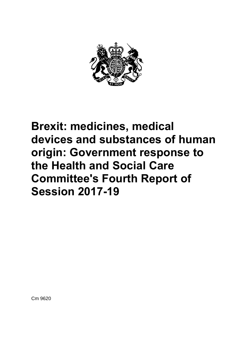

# **Brexit: medicines, medical devices and substances of human origin: Government response to the Health and Social Care Committee's Fourth Report of Session 2017-19**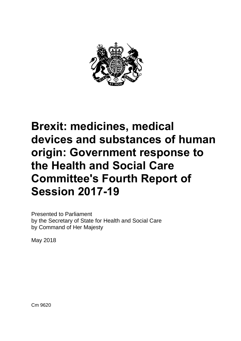

# **Brexit: medicines, medical devices and substances of human origin: Government response to the Health and Social Care Committee's Fourth Report of Session 2017-19**

Presented to Parliament by the Secretary of State for Health and Social Care by Command of Her Majesty

May 2018

Cm 9620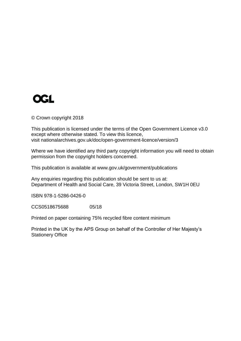# **OGL**

© Crown copyright 2018

This publication is licensed under the terms of the Open Government Licence v3.0 except where otherwise stated. To view this licence, visit nationalarchives.gov.uk/doc/open-government-licence/version/3

Where we have identified any third party copyright information you will need to obtain permission from the copyright holders concerned.

This publication is available at www.gov.uk/government/publications

Any enquiries regarding this publication should be sent to us at: Department of Health and Social Care, 39 Victoria Street, London, SW1H 0EU

ISBN 978-1-5286-0426-0

CCS0518675688 05/18

Printed on paper containing 75% recycled fibre content minimum

Printed in the UK by the APS Group on behalf of the Controller of Her Majesty's Stationery Office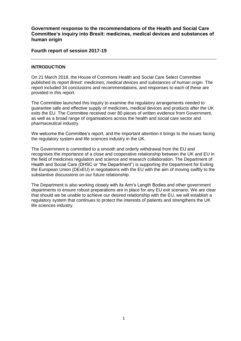**Government response to the recommendations of the Health and Social Care Committee's inquiry into Brexit: medicines, medical devices and substances of human origin**

**Fourth report of session 2017-19**

#### **INTRODUCTION**

On 21 March 2018, the House of Commons Health and Social Care Select Committee published its report *Brexit: medicines, medical devices and substances of human origin.* The report included 34 conclusions and recommendations, and responses to each of these are provided in this report.

The Committee launched this inquiry to examine the regulatory arrangements needed to guarantee safe and effective supply of medicines, medical devices and products after the UK exits the EU. The Committee received over 80 pieces of written evidence from Government, as well as a broad range of organisations across the health and social care sector and pharmaceutical industry.

We welcome the Committee's report, and the important attention it brings to the issues facing the regulatory system and life sciences industry in the UK.

The Government is committed to a smooth and orderly withdrawal from the EU and recognises the importance of a close and cooperative relationship between the UK and EU in the field of medicines regulation and science and research collaboration. The Department of Health and Social Care (DHSC or "the Department") is supporting the Department for Exiting the European Union (DExEU) in negotiations with the EU with the aim of moving swiftly to the substantive discussions on our future relationship.

The Department is also working closely with its Arm's Length Bodies and other government departments to ensure robust preparations are in place for any EU exit scenario. We are clear that should we be unable to achieve our desired relationship with the EU, we will establish a regulatory system that continues to protect the interests of patients and strengthens the UK life sciences industry.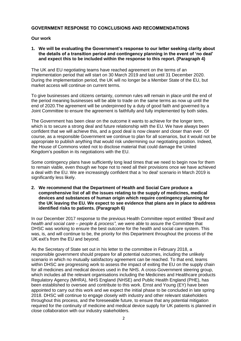# **GOVERNMENT RESPONSE TO CONCLUSIONS AND RECOMMENDATIONS**

#### **Our work**

**1. We will be evaluating the Government's response to our letter seeking clarity about the details of a transition period and contingency planning in the event of 'no deal' and expect this to be included within the response to this report. (Paragraph 4)**

The UK and EU negotiating teams have reached agreement on the terms of an implementation period that will start on 30 March 2019 and last until 31 December 2020. During the implementation period, the UK will no longer be a Member State of the EU, but market access will continue on current terms.

To give businesses and citizens certainty, common rules will remain in place until the end of the period meaning businesses will be able to trade on the same terms as now up until the end of 2020.The agreement will be underpinned by a duty of good faith and governed by a Joint Committee to ensure the agreement is faithfully and fully implemented by both sides.

The Government has been clear on the outcome it wants to achieve for the longer term, which is to secure a strong deal and future relationship with the EU. We have always been confident that we will achieve this, and a good deal is now clearer and closer than ever. Of course, as a responsible Government we continue to plan for all scenarios, but it would not be appropriate to publish anything that would risk undermining our negotiating position. Indeed, the House of Commons voted not to disclose material that could damage the United Kingdom's position in its negotiations with the EU.

Some contingency plans have sufficiently long lead times that we need to begin now for them to remain viable, even though we hope not to need all their provisions once we have achieved a deal with the EU. We are increasingly confident that a 'no deal' scenario in March 2019 is significantly less likely.

**2. We recommend that the Department of Health and Social Care produce a comprehensive list of all the issues relating to the supply of medicines, medical devices and substances of human origin which require contingency planning for the UK leaving the EU. We expect to see evidence that plans are in place to address identified risks to patients. (Paragraph 6)**

In our December 2017 response to the previous Health Committee report entitled *"Brexit and health and social care – people & process"*, we were able to assure the Committee that DHSC was working to ensure the best outcome for the health and social care system. This was, is, and will continue to be, the priority for this Department throughout the process of the UK exit's from the EU and beyond.

As the Secretary of State set out in his letter to the committee in February 2018, a responsible government should prepare for all potential outcomes, including the unlikely scenario in which no mutually satisfactory agreement can be reached. To that end, teams within DHSC are progressing work to assess the impact of exiting the EU on the supply chain for all medicines and medical devices used in the NHS. A cross-Government steering group, which includes all the relevant organisations including the Medicines and Healthcare products Regulatory Agency (MHRA), NHS England (NHSE) and Public Health England (PHE), has been established to oversee and contribute to this work. Ernst and Young (EY) have been appointed to carry out this work and we expect the initial phase to be concluded in late spring 2018. DHSC will continue to engage closely with industry and other relevant stakeholders throughout this process, and the foreseeable future, to ensure that any potential mitigation required for the continuity of medicine and medical device supply for UK patients is planned in close collaboration with our industry stakeholders.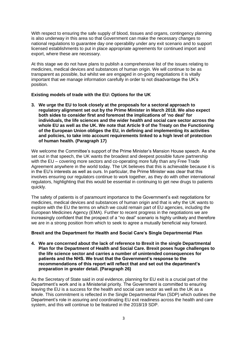With respect to ensuring the safe supply of blood, tissues and organs, contingency planning is also underway in this area so that Government can make the necessary changes to national regulations to guarantee day one operability under any exit scenario and to support licensed establishments to put in place appropriate agreements for continued import and export, where these are necessary.

At this stage we do not have plans to publish a comprehensive list of the issues relating to medicines, medical devices and substances of human origin. We will continue to be as transparent as possible, but whilst we are engaged in on-going negotiations it is vitally important that we manage information carefully in order to not disadvantage the UK's position.

# **Existing models of trade with the EU: Options for the UK**

**3. We urge the EU to look closely at the proposals for a sectoral approach to regulatory alignment set out by the Prime Minister in March 2018. We also expect both sides to consider first and foremost the implications of 'no deal' for individuals, the life sciences and the wider health and social care sector across the whole EU as well as the UK. We note that Article 9 of the Treaty on the Functioning of the European Union obliges the EU, in defining and implementing its activities and policies, to take into account requirements linked to a high level of protection of human health. (Paragraph 17)**

We welcome the Committee's support of the Prime Minister's Mansion House speech. As she set out in that speech, the UK wants the broadest and deepest possible future partnership with the EU – covering more sectors and co-operating more fully than any Free Trade Agreement anywhere in the world today. The UK believes that this is achievable because it is in the EU's interests as well as ours. In particular, the Prime Minister was clear that this involves ensuring our regulators continue to work together, as they do with other international regulators, highlighting that this would be essential in continuing to get new drugs to patients quickly.

The safety of patients is of paramount importance to the Government's exit negotiations for medicines, medical devices and substances of human origin and that is why the UK wants to explore with the EU the terms on which we could remain part of EU agencies, including the European Medicines Agency (EMA). Further to recent progress in the negotiations we are increasingly confident that the prospect of a "no deal" scenario is highly unlikely and therefore we are in a strong position from which to seek to agree a mutually beneficial way forward.

# **Brexit and the Department for Health and Social Care's Single Departmental Plan**

**4. We are concerned about the lack of reference to Brexit in the single Departmental Plan for the Department of Health and Social Care. Brexit poses huge challenges to the life science sector and carries a number of unintended consequences for patients and the NHS. We trust that the Government's response to the recommendations of this report will reflect that and set out the department's preparation in greater detail. (Paragraph 26)**

As the Secretary of State said in oral evidence, planning for EU exit is a crucial part of the Department's work and is a Ministerial priority. The Government is committed to ensuring leaving the EU is a success for the health and social care sector as well as the UK as a whole. This commitment is reflected in the Single Departmental Plan (SDP) which outlines the Department's role in assuring and coordinating EU exit readiness across the health and care system, and this will continue to be featured in the 2018/19 SDP.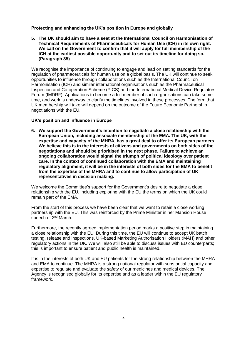# **Protecting and enhancing the UK's position in Europe and globally**

**5. The UK should aim to have a seat at the International Council on Harmonisation of Technical Requirements of Pharmaceuticals for Human Use (ICH) in its own right. We call on the Government to confirm that it will apply for full membership of the ICH at the earliest possible opportunity and to set out its timeline for doing so. (Paragraph 35)**

We recognise the importance of continuing to engage and lead on setting standards for the regulation of pharmaceuticals for human use on a global basis. The UK will continue to seek opportunities to influence through collaborations such as the International Council on Harmonisation (ICH) and similar international organisations such as the Pharmaceutical Inspection and Co-operation Scheme (PICS) and the International Medical Device Regulators Forum (IMDRF). Applications to become a full member of such organisations can take some time, and work is underway to clarify the timelines involved in these processes. The form that UK membership will take will depend on the outcome of the Future Economic Partnership negotiations with the EU.

**UK's position and influence in Europe**

**6. We support the Government's intention to negotiate a close relationship with the European Union, including associate membership of the EMA. The UK, with the expertise and capacity of the MHRA, has a great deal to offer its European partners. We believe this is in the interests of citizens and governments on both sides of the negotiations and should be prioritised in the next phase. Failure to achieve an ongoing collaboration would signal the triumph of political ideology over patient care. In the context of continued collaboration with the EMA and maintaining regulatory alignment, it will be in the interests of both sides for the EMA to benefit from the expertise of the MHRA and to continue to allow participation of UK representatives in decision making.**

We welcome the Committee's support for the Government's desire to negotiate a close relationship with the EU, including exploring with the EU the terms on which the UK could remain part of the EMA.

From the start of this process we have been clear that we want to retain a close working partnership with the EU. This was reinforced by the Prime Minister in her Mansion House speech of 2<sup>nd</sup> March.

Furthermore, the recently agreed implementation period marks a positive step in maintaining a close relationship with the EU. During this time, the EU will continue to accept UK batch testing, release and inspections, UK-based Marketing Authorisation Holders (MAH) and other regulatory actions in the UK. We will also still be able to discuss issues with EU counterparts; this is important to ensure patient and public health is maintained.

It is in the interests of both UK and EU patients for the strong relationship between the MHRA and EMA to continue. The MHRA is a strong national regulator with substantial capacity and expertise to regulate and evaluate the safety of our medicines and medical devices. The Agency is recognised globally for its expertise and as a leader within the EU regulatory framework.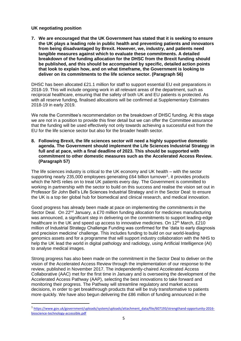# **UK negotiating position**

 $\overline{\phantom{a}}$ 

**7. We are encouraged that the UK Government has stated that it is seeking to ensure the UK plays a leading role in public health and preventing patients and innovators from being disadvantaged by Brexit. However, we, industry, and patients need tangible measures against which to evaluate these commitments. A detailed breakdown of the funding allocation for the DHSC from the Brexit funding should be published, and this should be accompanied by specific, detailed action points that look to explain how, and on what timeframe, the Government is looking to deliver on its commitments to the life science sector. (Paragraph 56)**

DHSC has been allocated £21.1 million for staff to support essential EU exit preparations in 2018-19. This will include ongoing work in all relevant areas of the department, such as reciprocal healthcare, ensuring that the safety of both UK and EU patients is protected. As with all reserve funding, finalised allocations will be confirmed at Supplementary Estimates 2018-19 in early 2019.

We note the Committee's recommendation on the breakdown of DHSC funding. At this stage we are not in a position to provide this finer detail but we can offer the Committee assurance that the funding will be used effectively not only towards achieving a successful exit from the EU for the life science sector but also for the broader health sector.

**8. Following Brexit, the life sciences sector will need a highly supportive domestic agenda. The Government should implement the Life Sciences Industrial Strategy in full and at pace, with a final deadline of 2023. This should be supported with commitment to other domestic measures such as the Accelerated Access Review. (Paragraph 57)**

The life sciences industry is critical to the UK economy and UK health – with the sector supporting nearly 235,000 employees generating £64 billion turnover<sup>1</sup>, it provides products which the NHS relies on to treat UK patients every day. The Government is committed to working in partnership with the sector to build on this success and realise the vision set out in Professor Sir John Bell's Life Sciences Industrial Strategy and in the Sector Deal: to ensure the UK is a top tier global hub for biomedical and clinical research, and medical innovation.

Good progress has already been made at pace on implementing the commitments in the Sector Deal. On 22<sup>nd</sup> January, a £70 million funding allocation for medicines manufacturing was announced, a significant step in delivering on the commitments to support leading-edge healthcare in the UK and speed up access to innovative medicines. On  $12<sup>th</sup>$  March, £210 million of Industrial Strategy Challenge Funding was confirmed for the 'data to early diagnosis and precision medicine' challenge. This includes funding to build on our world-leading genomics assets and for a programme that will support industry collaboration with the NHS to help the UK lead the world in digital pathology and radiology, using Artificial Intelligence (AI) to analyse medical images.

Strong progress has also been made on the commitment in the Sector Deal to deliver on the vision of the Accelerated Access Review through the implementation of our response to the review, published in November 2017. The independently-chaired Accelerated Access Collaborative (AAC) met for the first time in January and is overseeing the development of the Accelerated Access Pathway (AAP), selecting the best innovations to take forward and monitoring their progress. The Pathway will streamline regulatory and market access decisions, in order to get breakthrough products that will be truly transformative to patients more quickly. We have also begun delivering the £86 million of funding announced in the

<sup>&</sup>lt;sup>1</sup> [https://www.gov.uk/government/uploads/system/uploads/attachment\\_data/file/607193/strengthand-opportunity-2016](https://www.gov.uk/government/uploads/system/uploads/attachment_data/file/607193/strengthand-opportunity-2016-bioscience-technology-accessible.pdf) [bioscience-technology-accessible.pdf](https://www.gov.uk/government/uploads/system/uploads/attachment_data/file/607193/strengthand-opportunity-2016-bioscience-technology-accessible.pdf)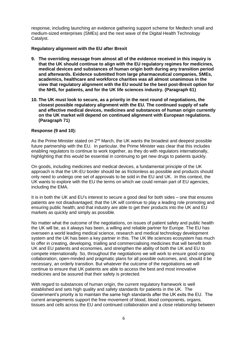response, including launching an evidence gathering support scheme for Medtech small and medium-sized enterprises (SMEs) and the next wave of the Digital Health Technology Catalyst.

# **Regulatory alignment with the EU after Brexit**

- **9. The overriding message from almost all of the evidence received in this inquiry is that the UK should continue to align with the EU regulatory regimes for medicines, medical devices and substances of human origin both during any transition period and afterwards. Evidence submitted from large pharmaceutical companies, SMEs, academics, healthcare and workforce charities was all almost unanimous in the view that regulatory alignment with the EU would be the best post-Brexit option for the NHS, for patients, and for the UK life sciences industry. (Paragraph 61)**
- **10. The UK must look to secure, as a priority in the next round of negotiations, the closest possible regulatory alignment with the EU. The continued supply of safe and effective medical devices, medicines and substances of human origin currently on the UK market will depend on continued alignment with European regulations. (Paragraph 71)**

# **Response (9 and 10):**

As the Prime Minister stated on  $2^{nd}$  March, the UK wants the broadest and deepest possible future partnership with the EU. In particular, the Prime Minister was clear that this includes enabling regulators to continue to work together, as they do with regulators internationally, highlighting that this would be essential in continuing to get new drugs to patients quickly.

On goods, including medicines and medical devices, a fundamental principle of the UK approach is that the UK-EU border should be as frictionless as possible and products should only need to undergo one set of approvals to be sold in the EU and UK. In this context, the UK wants to explore with the EU the terms on which we could remain part of EU agencies, including the EMA.

It is in both the UK and EU's interest to secure a good deal for both sides – one that ensures patients are not disadvantaged; that the UK will continue to play a leading role promoting and ensuring public health; and that industry are able to get their products into the UK and EU markets as quickly and simply as possible.

No matter what the outcome of the negotiations, on issues of patient safety and public health the UK will be, as it always has been, a willing and reliable partner for Europe. The EU has overseen a world leading medical science, research and medical technology development system and the UK has been a key partner in this. The UK life sciences ecosystem has much to offer in creating, developing, trialling and commercialising medicines that will benefit both UK and EU patients and economies, and strengthen the ability of both the UK and EU to compete internationally. So, throughout the negotiations we will work to ensure good ongoing collaboration, open-minded and pragmatic plans for all possible outcomes, and, should it be necessary, an orderly transition. But whatever the outcome of the negotiations we will continue to ensure that UK patients are able to access the best and most innovative medicines and be assured that their safety is protected.

With regard to substances of human origin, the current regulatory framework is well established and sets high quality and safety standards for patients in the UK. The Government's priority is to maintain the same high standards after the UK exits the EU. The current arrangements support the free movement of blood, blood components, organs, tissues and cells across the EU and continued collaboration and a close relationship between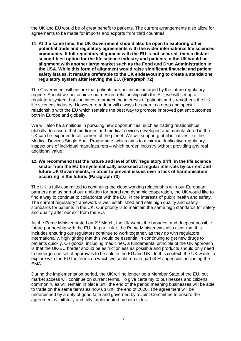the UK and EU would be of great benefit to patients. The current arrangements also allow for agreements to be made for imports and exports from third countries.

**11. At the same time, the UK Government should also be open to exploring other potential trade and regulatory agreements with the wider international life sciences community. If full regulatory alignment with the EU is not secured, then a distant second-best option for the life science industry and patients in the UK would be alignment with another large market such as the Food and Drug Administration in the USA. While this form of alignment would raise significant financial and patient safety issues, it remains preferable to the UK endeavouring to create a standalone regulatory system after leaving the EU. (Paragraph 72)**

The Government will ensure that patients are not disadvantaged by the future regulatory regime. Should we not achieve our desired relationship with the EU, we will set up a regulatory system that continues to protect the interests of patients and strengthens the UK life sciences industry. However, our door will always be open to a deep and special relationship with the EU which remains the best way to promote improved patient outcomes both in Europe and globally.

We will also be ambitious in pursuing new opportunities, such as trading relationships globally, to ensure that medicines and medical devices developed and manufactured in the UK can be exported to all corners of the planet. We will support global initiatives like the Medical Devices Single Audit Programme, which aims to minimise duplicative regulatory inspections of individual manufacturers – which burden industry without providing any real additional value.

#### **12. We recommend that the nature and level of UK 'regulatory drift' in the life science sector from the EU be systematically assessed at regular intervals by current and future UK Governments, in order to prevent issues over a lack of harmonisation occurring in the future. (Paragraph 73)**

The UK is fully committed to continuing the close working relationship with our European partners and as part of our ambition for broad and dynamic cooperation, the UK would like to find a way to continue to collaborate with the EU, in the interests of public health and safety. The current regulatory framework is well established and sets high quality and safety standards for patients in the UK. Our priority is to maintain the same high standards for safety and quality after our exit from the EU.

As the Prime Minister stated on  $2^{nd}$  March, the UK wants the broadest and deepest possible future partnership with the EU. In particular, the Prime Minister was also clear that this includes ensuring our regulators continue to work together, as they do with regulators internationally, highlighting that this would be essential in continuing to get new drugs to patients quickly. On goods, including medicines, a fundamental principle of the UK approach is that the UK-EU border should be as frictionless as possible and products should only need to undergo one set of approvals to be sold in the EU and UK. In this context, the UK wants to explore with the EU the terms on which we could remain part of EU agencies, including the EMA.

During the implementation period, the UK will no longer be a Member State of the EU, but market access will continue on current terms. To give certainty to businesses and citizens, common rules will remain in place until the end of the period meaning businesses will be able to trade on the same terms as now up until the end of 2020. The agreement will be underpinned by a duty of good faith and governed by a Joint Committee to ensure the agreement is faithfully and fully implemented by both sides.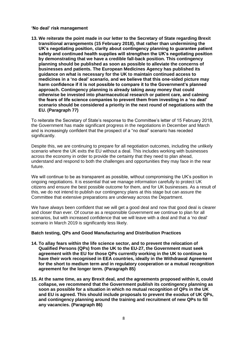**'No deal' risk management**

**13. We reiterate the point made in our letter to the Secretary of State regarding Brexit transitional arrangements (15 February 2018), that rather than undermining the UK's negotiating position, clarity about contingency planning to guarantee patient safety and continued health supplies will strengthen the UK's negotiating position by demonstrating that we have a credible fall-back position. This contingency planning should be published as soon as possible to alleviate the concerns of businesses and patients. The European Medicines Agency has published its guidance on what is necessary for the UK to maintain continued access to medicines in a 'no deal' scenario, and we believe that this one-sided picture may harm confidence if it is not possible to compare it to the Government's planned approach. Contingency planning is already taking away money that could otherwise be invested into pharmaceutical research or patient care, and calming the fears of life science companies to prevent them from investing in a 'no deal' scenario should be considered a priority in the next round of negotiations with the EU. (Paragraph 77)**

To reiterate the Secretary of State's response to the Committee's letter of 15 February 2018, the Government has made significant progress in the negotiations in December and March and is increasingly confident that the prospect of a "no deal" scenario has receded significantly.

Despite this, we are continuing to prepare for all negotiation outcomes, including the unlikely scenario where the UK exits the EU without a deal. This includes working with businesses across the economy in order to provide the certainty that they need to plan ahead, understand and respond to both the challenges and opportunities they may face in the near future.

We will continue to be as transparent as possible, without compromising the UK's position in ongoing negotiations. It is essential that we manage information carefully to protect UK citizens and ensure the best possible outcome for them, and for UK businesses. As a result of this, we do not intend to publish our contingency plans at this stage but can assure the Committee that extensive preparations are underway across the Department.

We have always been confident that we will get a good deal and now that good deal is clearer and closer than ever. Of course as a responsible Government we continue to plan for all scenarios, but with increased confidence that we will leave with a deal and that a 'no deal' scenario in March 2019 is significantly less likely.

# **Batch testing, QPs and Good Manufacturing and Distribution Practices**

- **14. To allay fears within the life science sector, and to prevent the relocation of Qualified Persons (QPs) from the UK to the EU-27, the Government must seek agreement with the EU for those QPs currently working in the UK to continue to have their work recognised in EEA countries, ideally in the Withdrawal Agreement for the short to medium term and in regulatory cooperation or a mutual recognition agreement for the longer term. (Paragraph 85)**
- **15. At the same time, as any Brexit deal, and the agreements proposed within it, could collapse, we recommend that the Government publish its contingency planning as soon as possible for a situation in which no mutual recognition of QPs in the UK and EU is agreed. This should include proposals to prevent the exodus of UK QPs, and contingency planning around the training and recruitment of new QPs to fill any vacancies. (Paragraph 86)**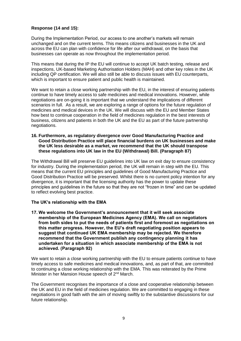# **Response (14 and 15):**

During the Implementation Period, our access to one another's markets will remain unchanged and on the current terms. This means citizens and businesses in the UK and across the EU can plan with confidence for life after our withdrawal, on the basis that businesses can operate as now throughout the implementation period.

This means that during the IP the EU will continue to accept UK batch testing, release and inspections, UK-based Marketing Authorisation Holders (MAH) and other key roles in the UK including QP certification. We will also still be able to discuss issues with EU counterparts, which is important to ensure patient and public health is maintained.

We want to retain a close working partnership with the EU, in the interest of ensuring patients continue to have timely access to safe medicines and medical innovations. However, while negotiations are on-going it is important that we understand the implications of different scenarios in full. As a result, we are exploring a range of options for the future regulation of medicines and medical devices in the UK. We will discuss with the EU and Member States how best to continue cooperation in the field of medicines regulation in the best interests of business, citizens and patients in both the UK and the EU as part of the future partnership negotiations.

#### **16. Furthermore, as regulatory divergence over Good Manufacturing Practice and Good Distribution Practice will place financial burdens on UK businesses and make the UK less desirable as a market, we recommend that the UK should transpose these regulations into UK law in the EU (Withdrawal) Bill. (Paragraph 87)**

The Withdrawal Bill will preserve EU guidelines into UK law on exit day to ensure consistency for industry. During the implementation period, the UK will remain in step with the EU. This means that the current EU principles and guidelines of Good Manufacturing Practice and Good Distribution Practice will be preserved. Whilst there is no current policy intention for any divergence, it is important that the licensing authority has the power to update these principles and guidelines in the future so that they are not "frozen in time" and can be updated to reflect evolving best practice.

# **The UK's relationship with the EMA**

**17. We welcome the Government's announcement that it will seek associate membership of the European Medicines Agency (EMA). We call on negotiators from both sides to put the needs of patients first and foremost as negotiations on this matter progress. However, the EU's draft negotiating position appears to suggest that continued UK EMA membership may be rejected. We therefore recommend that the Government publish any contingency planning it has undertaken for a situation in which associate membership of the EMA is not achieved. (Paragraph 92)**

We want to retain a close working partnership with the EU to ensure patients continue to have timely access to safe medicines and medical innovations, and, as part of that, are committed to continuing a close working relationship with the EMA. This was reiterated by the Prime Minister in her Mansion House speech of 2<sup>nd</sup> March.

The Government recognises the importance of a close and cooperative relationship between the UK and EU in the field of medicines regulation. We are committed to engaging in these negotiations in good faith with the aim of moving swiftly to the substantive discussions for our future relationship.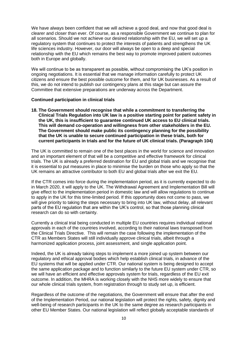We have always been confident that we will achieve a good deal, and now that good deal is clearer and closer than ever. Of course, as a responsible Government we continue to plan for all scenarios. Should we not achieve our desired relationship with the EU, we will set up a regulatory system that continues to protect the interests of patients and strengthens the UK life sciences industry. However, our door will always be open to a deep and special relationship with the EU which remains the best way to promote improved patient outcomes both in Europe and globally.

We will continue to be as transparent as possible, without compromising the UK's position in ongoing negotiations. It is essential that we manage information carefully to protect UK citizens and ensure the best possible outcome for them, and for UK businesses. As a result of this, we do not intend to publish our contingency plans at this stage but can assure the Committee that extensive preparations are underway across the Department.

#### **Continued participation in clinical trials**

**18. The Government should recognise that while a commitment to transferring the Clinical Trials Regulation into UK law is a positive starting point for patient safety in the UK, this is insufficient to guarantee continued UK access to EU clinical trials. This will demand co-operation and willingness from other stakeholders in the EU. The Government should make public its contingency planning for the possibility that the UK is unable to secure continued participation in these trials, both for current participants in trials and for the future of UK clinical trials. (Paragraph 104)**

The UK is committed to remain one of the best places in the world for science and innovation and an important element of that will be a competitive and effective framework for clinical trials. The UK is already a preferred destination for EU and global trials and we recognise that it is essential to put measures in place to minimise the burden on those who apply so that the UK remains an attractive contributor to both EU and global trials after we exit the EU.

If the CTR comes into force during the implementation period, as it is currently expected to do in March 2020, it will apply to the UK. The Withdrawal Agreement and Implementation Bill will give effect to the implementation period in domestic law and will allow regulations to continue to apply in the UK for this time-limited period. If this opportunity does not come to pass, we will give priority to taking the steps necessary to bring into UK law, without delay, all relevant parts of the EU regulation that are within the UK's control, so that those planning clinical research can do so with certainty.

Currently a clinical trial being conducted in multiple EU countries requires individual national approvals in each of the countries involved, according to their national laws transposed from the Clinical Trials Directive. This will remain the case following the implementation of the CTR as Members States will still individually approve clinical trials, albeit through a harmonized application process, joint assessment, and single application point.

Indeed, the UK is already taking steps to implement a more joined up system between our regulatory and ethical approval bodies which help establish clinical trials, in advance of the EU systems that will be applied under CTR. Our national system is being designed to accept the same application package and to function similarly to the future EU system under CTR, so we will have an efficient and effective approvals system for trials, regardless of the EU exit outcome. In addition, the MHRA is working closely with the NHS more widely to ensure that our whole clinical trials system, from registration through to study set up, is efficient.

Regardless of the outcome of the negotiations, the Government will ensure that after the end of the Implementation Period, our national legislation will protect the rights, safety, dignity and well-being of research participants in the UK to the same degree as research participants in other EU Member States. Our national legislation will reflect globally acceptable standards of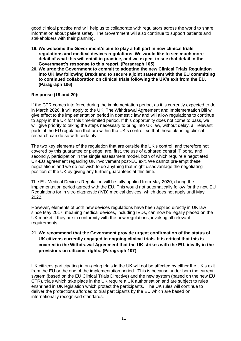good clinical practice and will help us to collaborate with regulators across the world to share information about patient safety. The Government will also continue to support patients and stakeholders with their planning.

- **19. We welcome the Government's aim to play a full part in new clinical trials regulations and medical devices regulations. We would like to see much more detail of what this will entail in practice, and we expect to see that detail in the Government's response to this report. (Paragraph 105)**
- **20. We urge the Government to commit to adopting the new Clinical Trials Regulation into UK law following Brexit and to secure a joint statement with the EU committing to continued collaboration on clinical trials following the UK's exit from the EU. (Paragraph 106)**

# **Response (19 and 20):**

If the CTR comes into force during the implementation period, as it is currently expected to do in March 2020, it will apply to the UK. The Withdrawal Agreement and Implementation Bill will give effect to the implementation period in domestic law and will allow regulations to continue to apply in the UK for this time-limited period. If this opportunity does not come to pass, we will give priority to taking the steps necessary to bring into UK law, without delay, all relevant parts of the EU regulation that are within the UK's control, so that those planning clinical research can do so with certainty.

The two key elements of the regulation that are outside the UK's control, and therefore not covered by this guarantee or pledge, are, first, the use of a shared central IT portal and, secondly, participation in the single assessment model, both of which require a negotiated UK-EU agreement regarding UK involvement post-EU exit. We cannot pre-empt these negotiations and we do not wish to do anything that might disadvantage the negotiating position of the UK by giving any further guarantees at this time.

The EU Medical Devices Regulation will be fully applied from May 2020, during the implementation period agreed with the EU. This would not automatically follow for the new EU Regulations for in vitro diagnostic (IVD) medical devices, which does not apply until May 2022.

However, elements of both new devices regulations have been applied directly in UK law since May 2017, meaning medical devices, including IVDs, can now be legally placed on the UK market if they are in conformity with the new regulations, invoking all relevant requirements.

# **21. We recommend that the Government provide urgent confirmation of the status of UK citizens currently engaged in ongoing clinical trials. It is critical that this is covered in the Withdrawal Agreement that the UK strikes with the EU, ideally in the provisions on citizens' rights. (Paragraph 107)**

UK citizens participating in on-going trials in the UK will not be affected by either the UK's exit from the EU or the end of the implementation period. This is because under both the current system (based on the EU Clinical Trials Directive) and the new system (based on the new EU CTR), trials which take place in the UK require a UK authorisation and are subject to rules enshrined in UK legislation which protect the participants. The UK rules will continue to deliver the protections afforded to trial participants by the EU which are based on internationally recognised standards.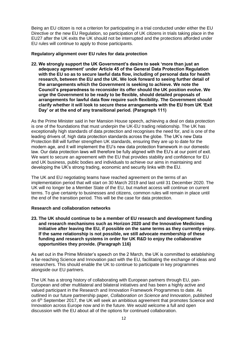Being an EU citizen is not a criterion for participating in a trial conducted under either the EU Directive or the new EU Regulation, so participation of UK citizens in trials taking place in the EU27 after the UK exits the UK should not be interrupted and the protections afforded under EU rules will continue to apply to those participants.

#### **Regulatory alignment over EU rules for data protection**

**22. We strongly support the UK Government's desire to seek 'more than just an adequacy agreement' under Article 45 of the General Data Protection Regulation with the EU so as to secure lawful data flow, including of personal data for health research, between the EU and the UK. We look forward to seeing further detail of the arrangements which the Government is seeking to achieve. We note the Council's preparedness to reconsider its offer should the UK position evolve. We urge the Government to be ready to be flexible, should detailed proposals of arrangements for lawful data flow require such flexibility. The Government should clarify whether it will look to secure these arrangements with the EU from UK 'Exit Day' or at the end of any transitional period. (Paragraph 111)**

As the Prime Minister said in her Mansion House speech, achieving a deal on data protection is one of the foundations that must underpin the UK-EU trading relationship. The UK has exceptionally high standards of data protection and recognises the need for, and is one of the leading drivers of, high data protection standards across the globe. The UK's new Data Protection Bill will further strengthen UK standards, ensuring they are up to date for the modern age, and it will implement the EU's new data protection framework in our domestic law. Our data protection laws will therefore be fully aligned with the EU's at our point of exit. We want to secure an agreement with the EU that provides stability and confidence for EU and UK business, public bodies and individuals to achieve our aims in maintaining and developing the UK's strong trading, economic and security links with the EU.

The UK and EU negotiating teams have reached agreement on the terms of an implementation period that will start on 30 March 2019 and last until 31 December 2020. The UK will no longer be a Member State of the EU, but market access will continue on current terms. To give certainty to businesses and citizens, common rules will remain in place until the end of the transition period. This will be the case for data protection.

# **Research and collaboration networks**

**23. The UK should continue to be a member of EU research and development funding and research mechanisms such as Horizon 2020 and the Innovative Medicines Initiative after leaving the EU, if possible on the same terms as they currently enjoy. If the same relationship is not possible, we still advocate membership of these funding and research systems in order for UK R&D to enjoy the collaborative opportunities they provide. (Paragraph 116)**

As set out in the Prime Minister's speech on the 2 March, the UK is committed to establishing a far-reaching Science and Innovation pact with the EU, facilitating the exchange of ideas and researchers. This should enable the UK to continue to participate in key programmes alongside our EU partners.

The UK has a strong history of collaborating with European partners through EU, pan-European and other multilateral and bilateral initiatives and has been a highly active and valued participant in the Research and Innovation Framework Programmes to date. As outlined in our future partnership paper, *Collaboration on Science and Innovation*, published on 6<sup>th</sup> September 2017, the UK will seek an ambitious agreement that promotes Science and Innovation across Europe now and in the future. We would welcome a full and open discussion with the EU about all of the options for continued collaboration.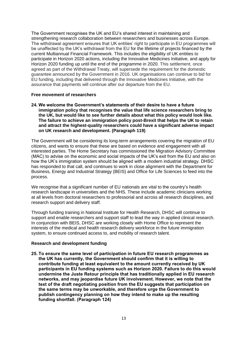The Government recognises the UK and EU's shared interest in maintaining and strengthening research collaboration between researchers and businesses across Europe. The withdrawal agreement ensures that UK entities' right to participate in EU programmes will be unaffected by the UK's withdrawal from the EU for the lifetime of projects financed by the current Multiannual Financial Framework. This includes the eligibility of UK entities to participate in Horizon 2020 actions, including the Innovative Medicines Initiative, and apply for Horizon 2020 funding up until the end of the programme in 2020. This settlement, once agreed as part of the Withdrawal Treaty, will supersede the requirement for the domestic guarantee announced by the Government in 2016. UK organisations can continue to bid for EU funding, including that delivered through the Innovative Medicines Initiative, with the assurance that payments will continue after our departure from the EU.

#### **Free movement of researchers**

**24. We welcome the Government's statements of their desire to have a future immigration policy that recognises the value that life science researchers bring to the UK, but would like to see further details about what this policy would look like. The failure to achieve an immigration policy post-Brexit that helps the UK to retain and attract the highest-quality researchers could have a significant adverse impact on UK research and development. (Paragraph 119)**

The Government will be considering its long-term arrangements covering the migration of EU citizens, and wants to ensure that these are based on evidence and engagement with all interested parties. The Home Secretary has commissioned the Migration Advisory Committee (MAC) to advise on the economic and social impacts of the UK's exit from the EU and also on how the UK's immigration system should be aligned with a modern industrial strategy. DHSC has responded to that call, and continues to work in close alignment with the Department for Business, Energy and Industrial Strategy (BEIS) and Office for Life Sciences to feed into the process.

We recognise that a significant number of EU nationals are vital to the country's health research landscape in universities and the NHS. These include academic clinicians working at all levels from doctoral researchers to professorial and across all research disciplines, and research support and delivery staff.

Through funding training in National Institute for Health Research, DHSC will continue to support and enable researchers and support staff to lead the way in applied clinical research. In conjunction with BEIS, DHSC are working closely with Home Office to represent the interests of the medical and health research delivery workforce in the future immigration system, to ensure continued access to, and mobility of research talent.

# **Research and development funding**

**25. To ensure the same level of participation in future EU research programmes as the UK has currently, the Government should confirm that it is willing to contribute funding at least equivalent to the amount currently received by UK participants in EU funding systems such as Horizon 2020. Failure to do this would undermine the Juste Retour principle that has traditionally applied in EU research networks, and may jeopardise future UK involvement. However, we note that the text of the draft negotiating position from the EU suggests that participation on the same terms may be unworkable, and therefore urge the Government to publish contingency planning on how they intend to make up the resulting funding shortfall. (Paragraph 124)**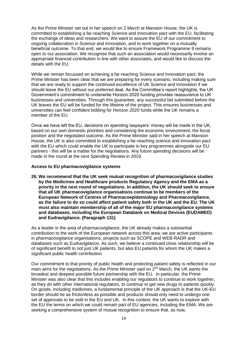As the Prime Minister set out in her speech on 2 March at Mansion House, the UK is committed to establishing a far-reaching Science and Innovation pact with the EU, facilitating the exchange of ideas and researchers. We want to assure the EU of our commitment to ongoing collaboration in Science and Innovation, and to work together on a mutually beneficial outcome. To that end, we would like to ensure Framework Programme 9 remains open to our association. We recognise that such an association would necessarily involve an appropriate financial contribution in line with other associates, and would like to discuss the details with the EU.

While we remain focussed on achieving a far-reaching Science and Innovation pact, the Prime Minister has been clear that we are preparing for every scenario, including making sure that we are ready to support the continued excellence of UK Science and Innovation if we should leave the EU without our preferred deal. As the Committee's report highlights, the UK Government's commitment to underwrite Horizon 2020 funding provides reassurance to UK businesses and universities. Through this guarantee, any successful bid submitted before the UK leaves the EU will be funded for the lifetime of the project. This ensures businesses and universities can feel confident bidding for Horizon 2020 funds while the UK remains a member of the EU.

Once we have left the EU, decisions on spending taxpayers' money will be made in the UK, based on our own domestic priorities and considering the economic environment, the fiscal position and the negotiated outcome. As the Prime Minister said in her speech at Mansion House, the UK is also committed to establishing a far-reaching science and innovation pact with the EU which could enable the UK to participate in key programmes alongside our EU partners - this will be a matter for the negotiations. Any future spending decisions will be made in the round at the next Spending Review in 2019.

#### **Access to EU pharmacovigilance systems**

**26. We recommend that the UK seek mutual recognition of pharmacovigilance studies by the Medicines and Healthcare products Regulatory Agency and the EMA as a priority in the next round of negotiations. In addition, the UK should seek to ensure that all UK pharmacovigilance organisations continue to be members of the European Network of Centres of Pharmacoepidemiology and Pharmacovigilance, as the failure to do so could affect patient safety both in the UK and the EU. The UK must also maintain membership of all of the major EU pharmacovigilance systems and databases, including the European Databank on Medical Devices (EUDAMED) and Eudravigilance. (Paragraph 131)**

As a leader in the area of pharmacovigilance, the UK already makes a substantial contribution to the work of the European network across this area; we are active participants in pharmacovigilance organisations, projects such as SCOPE and WEB-RADR and databases such as Eudravigilance. As such, we believe a continued close relationship will be of significant benefit to not just UK patients, but also EU patients for whom the UK makes a significant public health contribution.

Our commitment to that priority of public health and protecting patient safety is reflected in our main aims for the negotiations. As the Prime Minister said on 2<sup>nd</sup> March, the UK wants the broadest and deepest possible future partnership with the EU. In particular, the Prime Minister was also clear that this includes enabling our regulators to continue to work together, as they do with other international regulators, to continue to get new drugs to patients quickly. On goods, including medicines, a fundamental principle of the UK approach is that the UK-EU border should be as frictionless as possible and products should only need to undergo one set of approvals to be sold in the EU and UK. In this context, the UK wants to explore with the EU the terms on which we could remain part of EU agencies, including the EMA. We are seeking a comprehensive system of mutual recognition to ensure that, as now,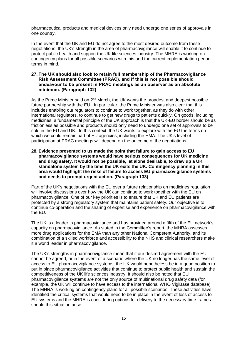pharmaceutical products and medical devices only need undergo one series of approvals in one country.

In the event that the UK and EU do not agree to the most desired outcome from these negotiations, the UK's strength in the area of pharmacovigilance will enable it to continue to protect public health and support the UK life sciences industry. The MHRA is working on contingency plans for all possible scenarios with this and the current implementation period terms in mind.

#### **27. The UK should also look to retain full membership of the Pharmacovigilance Risk Assessment Committee (PRAC), and if this is not possible should endeavour to be present in PRAC meetings as an observer as an absolute minimum. (Paragraph 132)**

As the Prime Minister said on  $2^{nd}$  March, the UK wants the broadest and deepest possible future partnership with the EU. In particular, the Prime Minister was also clear that this includes enabling our regulators to continue to work together, as they do with other international regulators, to continue to get new drugs to patients quickly. On goods, including medicines, a fundamental principle of the UK approach is that the UK-EU border should be as frictionless as possible and products should only need to undergo one set of approvals to be sold in the EU and UK. In this context, the UK wants to explore with the EU the terms on which we could remain part of EU agencies, including the EMA. The UK's level of participation at PRAC meetings will depend on the outcome of the negotiations.

**28. Evidence presented to us made the point that failure to gain access to EU pharmacovigilance systems would have serious consequences for UK medicine and drug safety. It would not be possible, let alone desirable, to draw up a UK standalone system by the time the UK exits the UK. Contingency planning in this area would highlight the risks of failure to access EU pharmacovigilance systems and needs to prompt urgent action. (Paragraph 133)**

Part of the UK's negotiations with the EU over a future relationship on medicines regulation will involve discussions over how the UK can continue to work together with the EU on pharmacovigilance. One of our key priorities is to ensure that UK and EU patients are protected by a strong regulatory system that maintains patient safety. Our objective is to continue co-operation and the sharing of expertise and experience on pharmacovigilance with the EU.

The UK is a leader in pharmacovigilance and has provided around a fifth of the EU network's capacity on pharmacovigilance. As stated in the Committee's report, the MHRA assesses more drug applications for the EMA than any other National Competent Authority, and its combination of a skilled workforce and accessibility to the NHS and clinical researchers make it a world leader in pharmacovigilance.

The UK's strengths in pharmacovigilance mean that if our desired agreement with the EU cannot be agreed, or in the event of a scenario where the UK no longer has the same level of access to EU pharmacovigilance systems, the UK would nonetheless be in a good position to put in place pharmacovigilance activities that continue to protect public health and sustain the competitiveness of the UK life sciences industry. It should also be noted that EU pharmacovigilance systems are not the only source of multinational drug safety data (for example, the UK will continue to have access to the international WHO VigiBase database). The MHRA is working on contingency plans for all possible scenarios. These activities have identified the critical systems that would need to be in place in the event of loss of access to EU systems and the MHRA is considering options for delivery to the necessary time frames should this situation arise.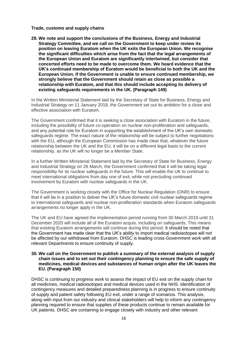#### **Trade, customs and supply chains**

**29. We note and support the conclusions of the Business, Energy and Industrial Strategy Committee, and we call on the Government to keep under review its position on leaving Euratom when the UK exits the European Union. We recognise the significant difficulties which arise from the fact that the legal arrangements of the European Union and Euratom are significantly intertwined, but consider that concerted efforts need to be made to overcome them. We heard evidence that the UK's continued membership of Euratom would be beneficial to both the UK and the European Union. If the Government is unable to ensure continued membership, we strongly believe that the Government should retain as close as possible a relationship with Euratom, and that this should include accepting its delivery of existing safeguards requirements in the UK. (Paragraph 149)**

In the Written Ministerial Statement laid by the Secretary of State for Business, Energy and Industrial Strategy on 11 January 2018, the Government set out its ambition for a close and effective association with Euratom.

The Government confirmed that it is seeking a close association with Euratom in the future, including the possibility of future co-operation on nuclear non-proliferation and safeguards, and any potential role for Euratom in supporting the establishment of the UK's own domestic safeguards regime. The exact nature of the relationship will be subject to further negotiations with the EU, although the European Commission has made clear that, whatever the future relationship between the UK and the EU, it will be on a different legal basis to the current relationship, as the UK will no longer be a Member State.

In a further Written Ministerial Statement laid by the Secretary of State for Business, Energy and Industrial Strategy on 26 March, the Government confirmed that it will be taking legal responsibility for its nuclear safeguards in the future. This will enable the UK to continue to meet international obligations from day one of exit, while not precluding continued involvement by Euratom with nuclear safeguards in the UK.

The Government is working closely with the Office for Nuclear Regulation (ONR) to ensure that it will be in a position to deliver the UK's future domestic civil nuclear safeguards regime to international safeguards and nuclear non-proliferation standards when Euratom safeguards arrangements no longer apply in the UK.

The UK and EU have agreed the implementation period running from 30 March 2019 until 31 December 2020 will include all of the Euratom acquis, including on safeguards. This means that existing Euratom arrangements will continue during this period. It should be noted that the Government has made clear that the UK's ability to import medical radioisotopes will not be affected by our withdrawal from Euratom. DHSC is leading cross-Government work with all relevant Departments to ensure continuity of supply.

#### **30. We call on the Government to publish a summary of the external analysis of supply chain issues and to set out their contingency planning to ensure the safe supply of medicines, medical devices and substances of human origin after the UK leaves the EU. (Paragraph 150)**

DHSC is continuing to progress work to assess the impact of EU exit on the supply chain for all medicines, medical radioisotopes and medical devices used in the NHS. Identification of contingency measures and detailed preparedness planning is in progress to ensure continuity of supply and patient safety following EU exit, under a range of scenarios. This analysis, along with input from our industry and clinical stakeholders will help to inform any contingency planning required to ensure that supplies of these products continue to remain available for UK patients. DHSC are containing to engage closely with industry and other relevant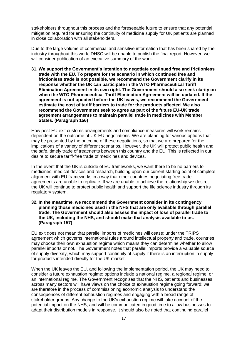stakeholders throughout this process and the foreseeable future to ensure that any potential mitigation required for ensuring the continuity of medicine supply for UK patients are planned in close collaboration with all stakeholders.

Due to the large volume of commercial and sensitive information that has been shared by the industry throughout this work, DHSC will be unable to publish the final report. However, we will consider publication of an executive summary of the work.

**31. We support the Government's intention to negotiate continued free and frictionless trade with the EU. To prepare for the scenario in which continued free and frictionless trade is not possible, we recommend the Government clarify in its response whether the UK can participate in the WTO Pharmaceutical Tariff Elimination Agreement in its own right. The Government should also seek clarity on when the WTO Pharmaceutical Tariff Elimination Agreement will be updated. If the agreement is not updated before the UK leaves, we recommend the Government estimate the cost of tariff barriers to trade for the products affected. We also recommend the Government seek to agree as part of the future EU-UK trade agreement arrangements to maintain parallel trade in medicines with Member States. (Paragraph 156)**

How post-EU exit customs arrangements and compliance measures will work remains dependent on the outcome of UK-EU negotiations. We are planning for various options that may be presented by the outcome of these negotiations, so that we are prepared for the implications of a variety of different scenarios. However, the UK will protect public health and the safe, timely trade of treatments between this country and the EU. This is reflected in our desire to secure tariff-free trade of medicines and devices.

In the event that the UK is outside of EU frameworks, we want there to be no barriers to medicines, medical devices and research, building upon our current starting point of complete alignment with EU frameworks in a way that other countries negotiating free trade agreements are unable to replicate. If we are unable to achieve the relationship we desire, the UK will continue to protect public health and support the life science industry through its regulatory system.

#### **32. In the meantime, we recommend the Government consider in its contingency planning those medicines used in the NHS that are only available through parallel trade. The Government should also assess the impact of loss of parallel trade to the UK, including the NHS, and should make that analysis available to us. (Paragraph 157)**

EU exit does not mean that parallel imports of medicines will cease: under the TRIPS agreement which governs international rules around intellectual property and trade, countries may choose their own exhaustion regime which means they can determine whether to allow parallel imports or not. The Government notes that parallel imports provide a valuable source of supply diversity, which may support continuity of supply if there is an interruption in supply for products intended directly for the UK market.

When the UK leaves the EU, and following the implementation period, the UK may need to consider a future exhaustion regime: options include a national regime, a regional regime, or an international regime. The Government recognises that the NHS, patients and businesses across many sectors will have views on the choice of exhaustion regime going forward: we are therefore in the process of commissioning economic analysis to understand the consequences of different exhaustion regimes and engaging with a broad range of stakeholder groups. Any change to the UK's exhaustion regime will take account of the potential impact on the NHS, and will be communicated in good time to allow businesses to adapt their distribution models in response. It should also be noted that continuing parallel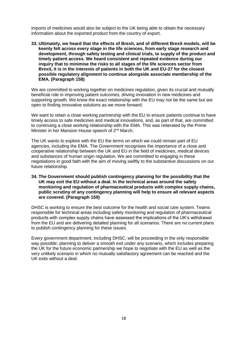imports of medicines would also be subject to the UK being able to obtain the necessary information about the exported product from the country of export.

**33. Ultimately, we heard that the effects of Brexit, and of different Brexit models, will be keenly felt across every stage in the life sciences, from early stage research and development, through safety testing and clinical trials, to supply of the product and timely patient access. We heard consistent and repeated evidence during our inquiry that to minimise the risks to all stages of the life sciences sector from Brexit, it is in the interests of patients in both the UK and EU-27 for the closest possible regulatory alignment to continue alongside associate membership of the EMA. (Paragraph 158)**

We are committed to working together on medicines regulation, given its crucial and mutually beneficial role in improving patient outcomes, driving innovation in new medicines and supporting growth. We know the exact relationship with the EU may not be the same but are open to finding innovative solutions as we move forward.

We want to retain a close working partnership with the EU to ensure patients continue to have timely access to safe medicines and medical innovations, and, as part of that, are committed to continuing a close working relationship with the EMA. This was reiterated by the Prime Minister in her Mansion House speech of 2<sup>nd</sup> March.

The UK wants to explore with the EU the terms on which we could remain part of EU agencies, including the EMA. The Government recognises the importance of a close and cooperative relationship between the UK and EU in the field of medicines, medical devices and substances of human origin regulation. We are committed to engaging in these negotiations in good faith with the aim of moving swiftly to the substantive discussions on our future relationship.

#### **34. The Government should publish contingency planning for the possibility that the UK may exit the EU without a deal. In the technical areas around the safety monitoring and regulation of pharmaceutical products with complex supply chains, public scrutiny of any contingency planning will help to ensure all relevant aspects are covered. (Paragraph 159)**

DHSC is working to ensure the best outcome for the health and social care system. Teams responsible for technical areas including safety monitoring and regulation of pharmaceutical products with complex supply chains have assessed the implications of the UK's withdrawal from the EU and are delivering detailed planning for all scenarios. There are no current plans to publish contingency planning for these issues.

Every government department, including DHSC, will be proceeding in the only responsible way possible: planning to deliver a smooth exit under any scenario, which includes preparing the UK for the future economic partnership we hope to negotiate with the EU as well as the very unlikely scenario in which no mutually satisfactory agreement can be reached and the UK exits without a deal.